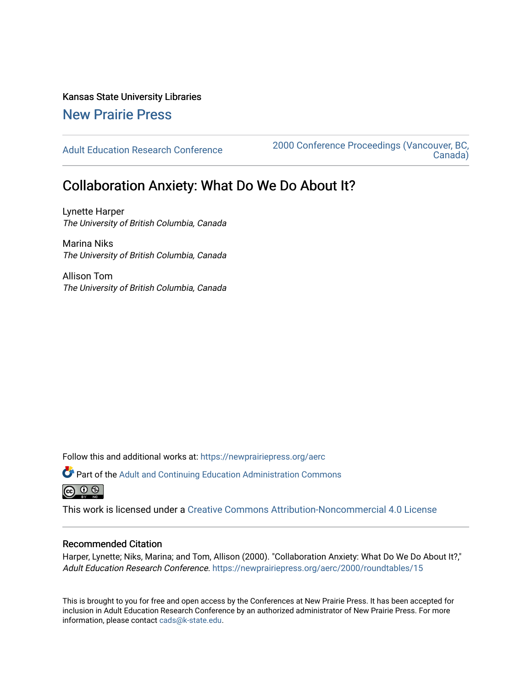Kansas State University Libraries

## [New Prairie Press](https://newprairiepress.org/)

[Adult Education Research Conference](https://newprairiepress.org/aerc) [2000 Conference Proceedings \(Vancouver, BC,](https://newprairiepress.org/aerc/2000)  [Canada\)](https://newprairiepress.org/aerc/2000) 

## Collaboration Anxiety: What Do We Do About It?

Lynette Harper The University of British Columbia, Canada

Marina Niks The University of British Columbia, Canada

Allison Tom The University of British Columbia, Canada

Follow this and additional works at: [https://newprairiepress.org/aerc](https://newprairiepress.org/aerc?utm_source=newprairiepress.org%2Faerc%2F2000%2Froundtables%2F15&utm_medium=PDF&utm_campaign=PDFCoverPages)

Part of the [Adult and Continuing Education Administration Commons](http://network.bepress.com/hgg/discipline/789?utm_source=newprairiepress.org%2Faerc%2F2000%2Froundtables%2F15&utm_medium=PDF&utm_campaign=PDFCoverPages) 

This work is licensed under a [Creative Commons Attribution-Noncommercial 4.0 License](https://creativecommons.org/licenses/by-nc/4.0/)

## Recommended Citation

Harper, Lynette; Niks, Marina; and Tom, Allison (2000). "Collaboration Anxiety: What Do We Do About It?," Adult Education Research Conference. <https://newprairiepress.org/aerc/2000/roundtables/15>

This is brought to you for free and open access by the Conferences at New Prairie Press. It has been accepted for inclusion in Adult Education Research Conference by an authorized administrator of New Prairie Press. For more information, please contact [cads@k-state.edu](mailto:cads@k-state.edu).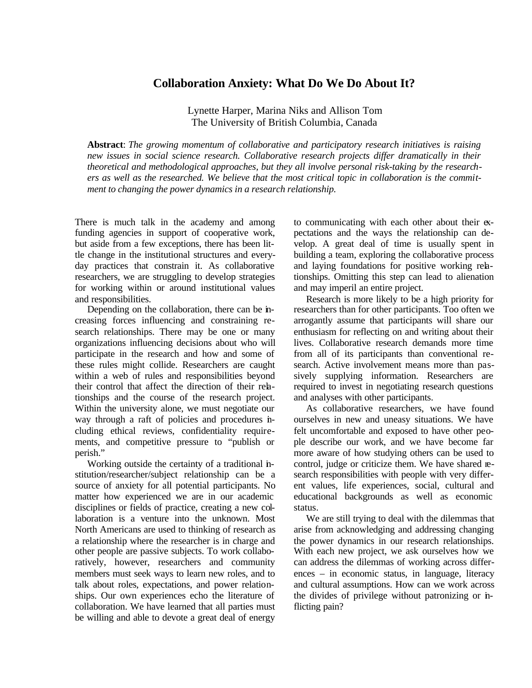## **Collaboration Anxiety: What Do We Do About It?**

Lynette Harper, Marina Niks and Allison Tom The University of British Columbia, Canada

**Abstract**: *The growing momentum of collaborative and participatory research initiatives is raising new issues in social science research. Collaborative research projects differ dramatically in their theoretical and methodological approaches, but they all involve personal risk-taking by the researchers as well as the researched. We believe that the most critical topic in collaboration is the commitment to changing the power dynamics in a research relationship.*

There is much talk in the academy and among funding agencies in support of cooperative work, but aside from a few exceptions, there has been little change in the institutional structures and everyday practices that constrain it. As collaborative researchers, we are struggling to develop strategies for working within or around institutional values and responsibilities.

Depending on the collaboration, there can be increasing forces influencing and constraining research relationships. There may be one or many organizations influencing decisions about who will participate in the research and how and some of these rules might collide. Researchers are caught within a web of rules and responsibilities beyond their control that affect the direction of their relationships and the course of the research project. Within the university alone, we must negotiate our way through a raft of policies and procedures including ethical reviews, confidentiality requirements, and competitive pressure to "publish or perish."

Working outside the certainty of a traditional institution/researcher/subject relationship can be a source of anxiety for all potential participants. No matter how experienced we are in our academic disciplines or fields of practice, creating a new collaboration is a venture into the unknown. Most North Americans are used to thinking of research as a relationship where the researcher is in charge and other people are passive subjects. To work collaboratively, however, researchers and community members must seek ways to learn new roles, and to talk about roles, expectations, and power relationships. Our own experiences echo the literature of collaboration. We have learned that all parties must be willing and able to devote a great deal of energy to communicating with each other about their expectations and the ways the relationship can develop. A great deal of time is usually spent in building a team, exploring the collaborative process and laying foundations for positive working relationships. Omitting this step can lead to alienation and may imperil an entire project.

Research is more likely to be a high priority for researchers than for other participants. Too often we arrogantly assume that participants will share our enthusiasm for reflecting on and writing about their lives. Collaborative research demands more time from all of its participants than conventional research. Active involvement means more than passively supplying information. Researchers are required to invest in negotiating research questions and analyses with other participants.

As collaborative researchers, we have found ourselves in new and uneasy situations. We have felt uncomfortable and exposed to have other people describe our work, and we have become far more aware of how studying others can be used to control, judge or criticize them. We have shared research responsibilities with people with very different values, life experiences, social, cultural and educational backgrounds as well as economic status.

We are still trying to deal with the dilemmas that arise from acknowledging and addressing changing the power dynamics in our research relationships. With each new project, we ask ourselves how we can address the dilemmas of working across differences – in economic status, in language, literacy and cultural assumptions. How can we work across the divides of privilege without patronizing or inflicting pain?